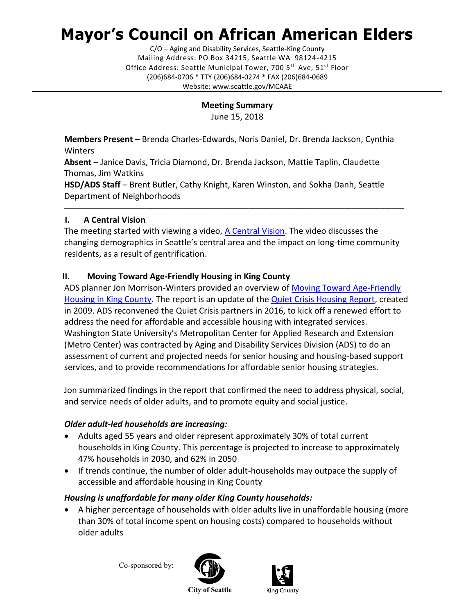# **Mayor's Council on African American Elders**

C/O – Aging and Disability Services, Seattle-King County Mailing Address: PO Box 34215, Seattle WA 98124-4215 Office Address: Seattle Municipal Tower, 700 5<sup>th</sup> Ave, 51<sup>st</sup> Floor (206)684-0706 **\*** TTY (206)684-0274 **\*** FAX (206)684-0689 Website: www.seattle.gov/MCAAE

# **Meeting Summary**

June 15, 2018

**Members Present** – Brenda Charles-Edwards, Noris Daniel, Dr. Brenda Jackson, Cynthia **Winters** 

**Absent** – Janice Davis, Tricia Diamond, Dr. Brenda Jackson, Mattie Taplin, Claudette Thomas, Jim Watkins

**HSD/ADS Staff** – Brent Butler, Cathy Knight, Karen Winston, and Sokha Danh, Seattle Department of Neighborhoods

## **I. A Central Vision**

The meeting started with viewing a video, [A Central Vision.](http://www.seattlechannel.org/videos?videoid=x87637) The video discusses the changing demographics in Seattle's central area and the impact on long-time community residents, as a result of gentrification.

\_\_\_\_\_\_\_\_\_\_\_\_\_\_\_\_\_\_\_\_\_\_\_\_\_\_\_\_\_\_\_\_\_\_\_\_\_\_\_\_\_\_\_\_\_\_\_\_\_\_\_\_\_\_\_\_\_\_\_\_\_\_\_\_\_\_\_\_\_\_\_\_\_\_\_\_\_\_\_\_\_\_\_\_\_\_\_\_\_\_\_\_\_\_\_\_\_\_\_\_\_\_\_\_\_\_\_\_\_\_

# **II. Moving Toward Age-Friendly Housing in King County**

ADS planner Jon Morrison-Winters provided an overview of [Moving Toward Age-Friendly](http://www.agingkingcounty.org/wp-content/uploads/sites/185/2018/02/MovingTowardAgeFriendlyHousingInKingCounty.pdf)  [Housing in King County.](http://www.agingkingcounty.org/wp-content/uploads/sites/185/2018/02/MovingTowardAgeFriendlyHousingInKingCounty.pdf) The report is an update of the [Quiet Crisis Housing Report,](http://www.agingkingcounty.org/wp-content/uploads/sites/185/2016/07/SeniorHousingStudy.pdf) created in 2009. ADS reconvened the Quiet Crisis partners in 2016, to kick off a renewed effort to address the need for affordable and accessible housing with integrated services. Washington State University's Metropolitan Center for Applied Research and Extension (Metro Center) was contracted by Aging and Disability Services Division (ADS) to do an assessment of current and projected needs for senior housing and housing-based support services, and to provide recommendations for affordable senior housing strategies.

Jon summarized findings in the report that confirmed the need to address physical, social, and service needs of older adults, and to promote equity and social justice.

## *Older adult-led households are increasing:*

- Adults aged 55 years and older represent approximately 30% of total current households in King County. This percentage is projected to increase to approximately 47% households in 2030, and 62% in 2050
- If trends continue, the number of older adult-households may outpace the supply of accessible and affordable housing in King County

## *Housing is unaffordable for many older King County households:*

• A higher percentage of households with older adults live in unaffordable housing (more than 30% of total income spent on housing costs) compared to households without older adults

Co-sponsored by:





**City of Seattle**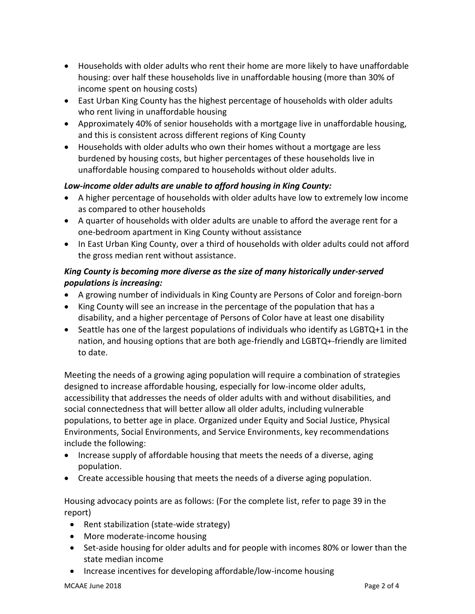- Households with older adults who rent their home are more likely to have unaffordable housing: over half these households live in unaffordable housing (more than 30% of income spent on housing costs)
- East Urban King County has the highest percentage of households with older adults who rent living in unaffordable housing
- Approximately 40% of senior households with a mortgage live in unaffordable housing, and this is consistent across different regions of King County
- Households with older adults who own their homes without a mortgage are less burdened by housing costs, but higher percentages of these households live in unaffordable housing compared to households without older adults.

## *Low-income older adults are unable to afford housing in King County:*

- A higher percentage of households with older adults have low to extremely low income as compared to other households
- A quarter of households with older adults are unable to afford the average rent for a one-bedroom apartment in King County without assistance
- In East Urban King County, over a third of households with older adults could not afford the gross median rent without assistance.

## *King County is becoming more diverse as the size of many historically under-served populations is increasing:*

- A growing number of individuals in King County are Persons of Color and foreign-born
- King County will see an increase in the percentage of the population that has a disability, and a higher percentage of Persons of Color have at least one disability
- Seattle has one of the largest populations of individuals who identify as LGBTQ+1 in the nation, and housing options that are both age-friendly and LGBTQ+-friendly are limited to date.

Meeting the needs of a growing aging population will require a combination of strategies designed to increase affordable housing, especially for low-income older adults, accessibility that addresses the needs of older adults with and without disabilities, and social connectedness that will better allow all older adults, including vulnerable populations, to better age in place. Organized under Equity and Social Justice, Physical Environments, Social Environments, and Service Environments, key recommendations include the following:

- Increase supply of affordable housing that meets the needs of a diverse, aging population.
- Create accessible housing that meets the needs of a diverse aging population.

Housing advocacy points are as follows: (For the complete list, refer to page 39 in the report)

- Rent stabilization (state-wide strategy)
- More moderate-income housing
- Set-aside housing for older adults and for people with incomes 80% or lower than the state median income
- Increase incentives for developing affordable/low-income housing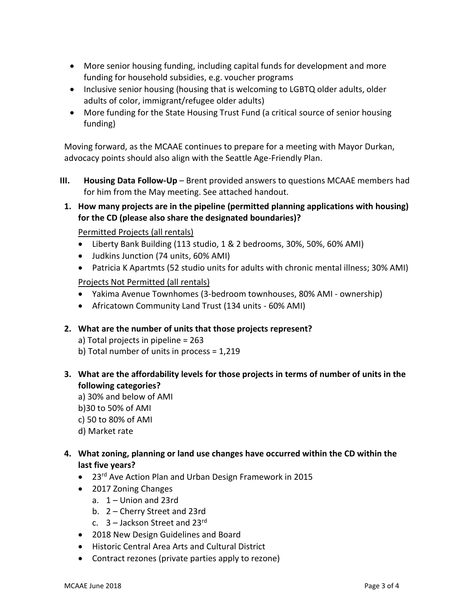- More senior housing funding, including capital funds for development and more funding for household subsidies, e.g. voucher programs
- Inclusive senior housing (housing that is welcoming to LGBTQ older adults, older adults of color, immigrant/refugee older adults)
- More funding for the State Housing Trust Fund (a critical source of senior housing funding)

Moving forward, as the MCAAE continues to prepare for a meeting with Mayor Durkan, advocacy points should also align with the Seattle Age-Friendly Plan.

- **III. Housing Data Follow-Up** Brent provided answers to questions MCAAE members had for him from the May meeting. See attached handout.
- **1. How many projects are in the pipeline (permitted planning applications with housing) for the CD (please also share the designated boundaries)?**

Permitted Projects (all rentals)

- Liberty Bank Building (113 studio, 1 & 2 bedrooms, 30%, 50%, 60% AMI)
- Judkins Junction (74 units, 60% AMI)
- Patricia K Apartmts (52 studio units for adults with chronic mental illness; 30% AMI)

Projects Not Permitted (all rentals)

- Yakima Avenue Townhomes (3-bedroom townhouses, 80% AMI ownership)
- Africatown Community Land Trust (134 units 60% AMI)

### **2. What are the number of units that those projects represent?**

- a) Total projects in pipeline = 263
- b) Total number of units in process = 1,219
- **3. What are the affordability levels for those projects in terms of number of units in the following categories?**
	- a) 30% and below of AMI
	- b)30 to 50% of AMI
	- c) 50 to 80% of AMI
	- d) Market rate

## **4. What zoning, planning or land use changes have occurred within the CD within the last five years?**

- 23<sup>rd</sup> Ave Action Plan and Urban Design Framework in 2015
- 2017 Zoning Changes
	- a.  $1 -$  Union and 23rd
	- b. 2 Cherry Street and 23rd
	- c.  $3 -$  Jackson Street and 23rd
- 2018 New Design Guidelines and Board
- Historic Central Area Arts and Cultural District
- Contract rezones (private parties apply to rezone)